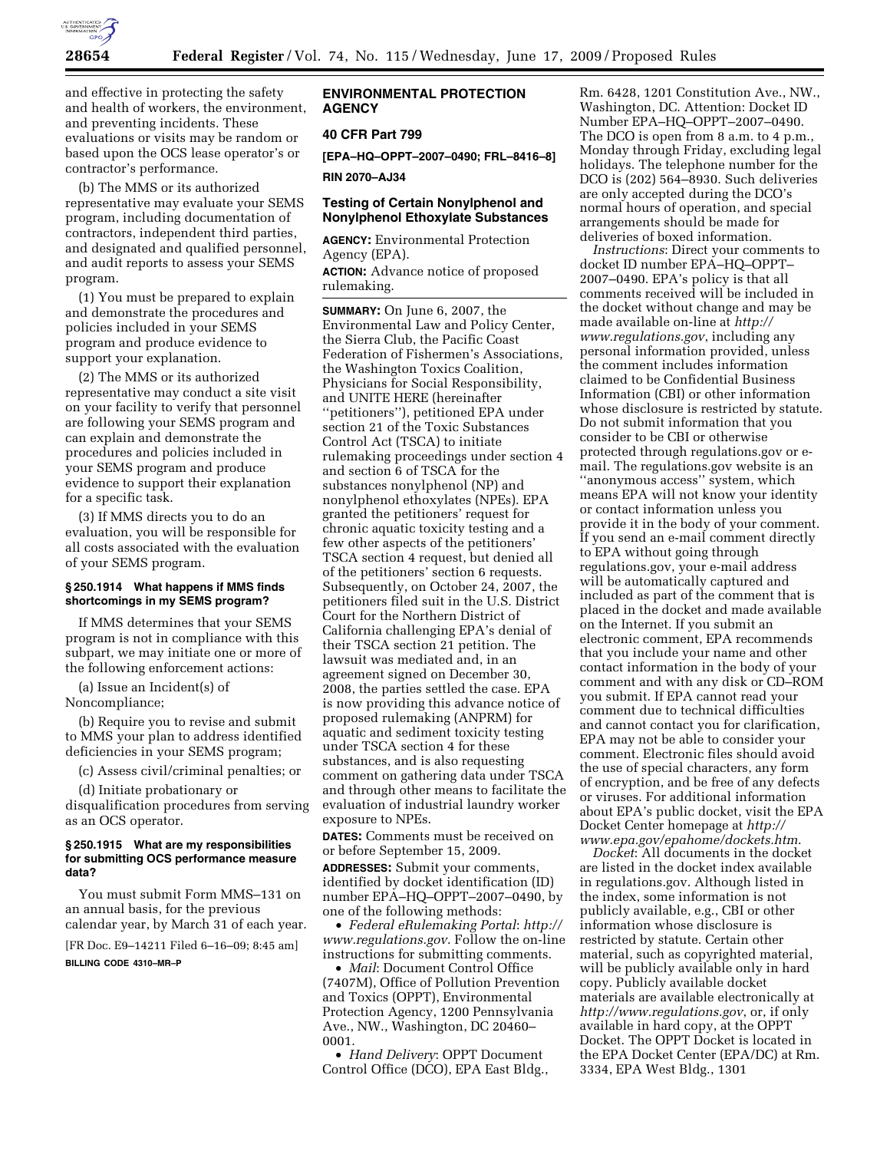

and effective in protecting the safety and health of workers, the environment, and preventing incidents. These evaluations or visits may be random or based upon the OCS lease operator's or contractor's performance.

(b) The MMS or its authorized representative may evaluate your SEMS program, including documentation of contractors, independent third parties, and designated and qualified personnel, and audit reports to assess your SEMS program.

(1) You must be prepared to explain and demonstrate the procedures and policies included in your SEMS program and produce evidence to support your explanation.

(2) The MMS or its authorized representative may conduct a site visit on your facility to verify that personnel are following your SEMS program and can explain and demonstrate the procedures and policies included in your SEMS program and produce evidence to support their explanation for a specific task.

(3) If MMS directs you to do an evaluation, you will be responsible for all costs associated with the evaluation of your SEMS program.

### **§ 250.1914 What happens if MMS finds shortcomings in my SEMS program?**

If MMS determines that your SEMS program is not in compliance with this subpart, we may initiate one or more of the following enforcement actions:

(a) Issue an Incident(s) of Noncompliance;

(b) Require you to revise and submit to MMS your plan to address identified deficiencies in your SEMS program;

(c) Assess civil/criminal penalties; or

(d) Initiate probationary or disqualification procedures from serving as an OCS operator.

### **§ 250.1915 What are my responsibilities for submitting OCS performance measure data?**

You must submit Form MMS–131 on an annual basis, for the previous calendar year, by March 31 of each year.

[FR Doc. E9–14211 Filed 6–16–09; 8:45 am] **BILLING CODE 4310–MR–P** 

## **ENVIRONMENTAL PROTECTION AGENCY**

# **40 CFR Part 799**

**[EPA–HQ–OPPT–2007–0490; FRL–8416–8]** 

**RIN 2070–AJ34** 

## **Testing of Certain Nonylphenol and Nonylphenol Ethoxylate Substances**

**AGENCY:** Environmental Protection Agency (EPA).

**ACTION:** Advance notice of proposed rulemaking.

**SUMMARY:** On June 6, 2007, the Environmental Law and Policy Center, the Sierra Club, the Pacific Coast Federation of Fishermen's Associations, the Washington Toxics Coalition, Physicians for Social Responsibility, and UNITE HERE (hereinafter ''petitioners''), petitioned EPA under section 21 of the Toxic Substances Control Act (TSCA) to initiate rulemaking proceedings under section 4 and section 6 of TSCA for the substances nonylphenol (NP) and nonylphenol ethoxylates (NPEs). EPA granted the petitioners' request for chronic aquatic toxicity testing and a few other aspects of the petitioners' TSCA section 4 request, but denied all of the petitioners' section 6 requests. Subsequently, on October 24, 2007, the petitioners filed suit in the U.S. District Court for the Northern District of California challenging EPA's denial of their TSCA section 21 petition. The lawsuit was mediated and, in an agreement signed on December 30, 2008, the parties settled the case. EPA is now providing this advance notice of proposed rulemaking (ANPRM) for aquatic and sediment toxicity testing under TSCA section 4 for these substances, and is also requesting comment on gathering data under TSCA and through other means to facilitate the evaluation of industrial laundry worker exposure to NPEs.

**DATES:** Comments must be received on or before September 15, 2009. **ADDRESSES:** Submit your comments, identified by docket identification (ID) number EPA–HQ–OPPT–2007–0490, by one of the following methods:

• *Federal eRulemaking Portal*: *http:// www.regulations.gov*. Follow the on-line instructions for submitting comments.

• *Mail*: Document Control Office (7407M), Office of Pollution Prevention and Toxics (OPPT), Environmental Protection Agency, 1200 Pennsylvania Ave., NW., Washington, DC 20460– 0001.

• *Hand Delivery*: OPPT Document Control Office (DCO), EPA East Bldg.,

Rm. 6428, 1201 Constitution Ave., NW., Washington, DC. Attention: Docket ID Number EPA–HQ–OPPT–2007–0490. The DCO is open from 8 a.m. to 4 p.m., Monday through Friday, excluding legal holidays. The telephone number for the DCO is (202) 564–8930. Such deliveries are only accepted during the DCO's normal hours of operation, and special arrangements should be made for deliveries of boxed information.

*Instructions*: Direct your comments to docket ID number EPA–HQ–OPPT– 2007–0490. EPA's policy is that all comments received will be included in the docket without change and may be made available on-line at *http:// www.regulations.gov*, including any personal information provided, unless the comment includes information claimed to be Confidential Business Information (CBI) or other information whose disclosure is restricted by statute. Do not submit information that you consider to be CBI or otherwise protected through regulations.gov or email. The regulations.gov website is an ''anonymous access'' system, which means EPA will not know your identity or contact information unless you provide it in the body of your comment. If you send an e-mail comment directly to EPA without going through regulations.gov, your e-mail address will be automatically captured and included as part of the comment that is placed in the docket and made available on the Internet. If you submit an electronic comment, EPA recommends that you include your name and other contact information in the body of your comment and with any disk or CD–ROM you submit. If EPA cannot read your comment due to technical difficulties and cannot contact you for clarification, EPA may not be able to consider your comment. Electronic files should avoid the use of special characters, any form of encryption, and be free of any defects or viruses. For additional information about EPA's public docket, visit the EPA Docket Center homepage at *http:// www.epa.gov/epahome/dockets.htm*.

*Docket*: All documents in the docket are listed in the docket index available in regulations.gov. Although listed in the index, some information is not publicly available, e.g., CBI or other information whose disclosure is restricted by statute. Certain other material, such as copyrighted material, will be publicly available only in hard copy. Publicly available docket materials are available electronically at *http://www.regulations.gov*, or, if only available in hard copy, at the OPPT Docket. The OPPT Docket is located in the EPA Docket Center (EPA/DC) at Rm. 3334, EPA West Bldg., 1301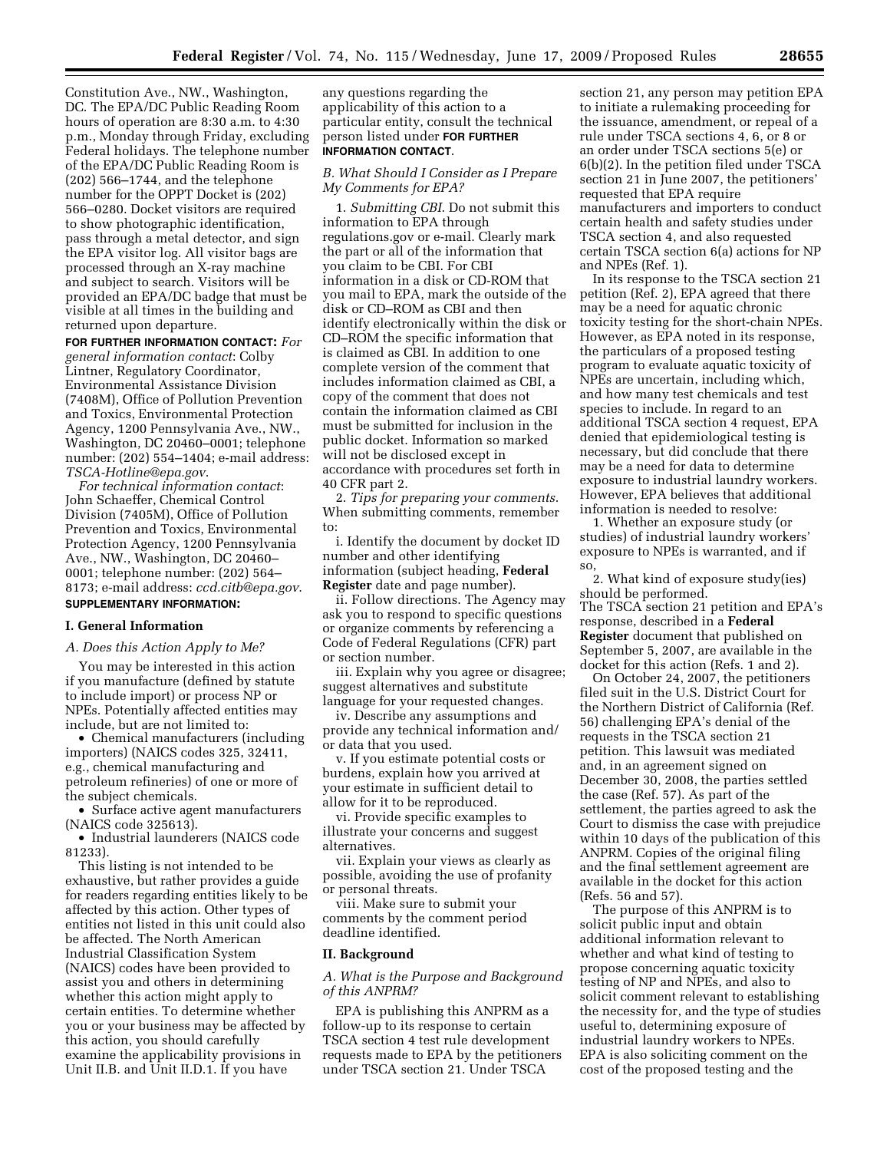Constitution Ave., NW., Washington, DC. The EPA/DC Public Reading Room hours of operation are 8:30 a.m. to 4:30 p.m., Monday through Friday, excluding Federal holidays. The telephone number of the EPA/DC Public Reading Room is (202) 566–1744, and the telephone number for the OPPT Docket is (202) 566–0280. Docket visitors are required to show photographic identification, pass through a metal detector, and sign the EPA visitor log. All visitor bags are processed through an X-ray machine and subject to search. Visitors will be provided an EPA/DC badge that must be visible at all times in the building and returned upon departure.

**FOR FURTHER INFORMATION CONTACT:** *For general information contact*: Colby Lintner, Regulatory Coordinator, Environmental Assistance Division (7408M), Office of Pollution Prevention and Toxics, Environmental Protection Agency, 1200 Pennsylvania Ave., NW., Washington, DC 20460–0001; telephone number: (202) 554–1404; e-mail address: *TSCA-Hotline@epa.gov*.

*For technical information contact*: John Schaeffer, Chemical Control Division (7405M), Office of Pollution Prevention and Toxics, Environmental Protection Agency, 1200 Pennsylvania Ave., NW., Washington, DC 20460– 0001; telephone number: (202) 564– 8173; e-mail address: *ccd.citb@epa.gov*. **SUPPLEMENTARY INFORMATION:** 

#### **I. General Information**

*A. Does this Action Apply to Me?* 

You may be interested in this action if you manufacture (defined by statute to include import) or process NP or NPEs. Potentially affected entities may include, but are not limited to:

• Chemical manufacturers (including importers) (NAICS codes 325, 32411, e.g., chemical manufacturing and petroleum refineries) of one or more of the subject chemicals.

• Surface active agent manufacturers (NAICS code 325613).

• Industrial launderers (NAICS code 81233).

This listing is not intended to be exhaustive, but rather provides a guide for readers regarding entities likely to be affected by this action. Other types of entities not listed in this unit could also be affected. The North American Industrial Classification System (NAICS) codes have been provided to assist you and others in determining whether this action might apply to certain entities. To determine whether you or your business may be affected by this action, you should carefully examine the applicability provisions in Unit II.B. and Unit II.D.1. If you have

any questions regarding the applicability of this action to a particular entity, consult the technical person listed under **FOR FURTHER INFORMATION CONTACT**.

# *B. What Should I Consider as I Prepare My Comments for EPA?*

1. *Submitting CBI*. Do not submit this information to EPA through regulations.gov or e-mail. Clearly mark the part or all of the information that you claim to be CBI. For CBI information in a disk or CD-ROM that you mail to EPA, mark the outside of the disk or CD–ROM as CBI and then identify electronically within the disk or CD–ROM the specific information that is claimed as CBI. In addition to one complete version of the comment that includes information claimed as CBI, a copy of the comment that does not contain the information claimed as CBI must be submitted for inclusion in the public docket. Information so marked will not be disclosed except in accordance with procedures set forth in 40 CFR part 2.

2. *Tips for preparing your comments*. When submitting comments, remember to:

i. Identify the document by docket ID number and other identifying information (subject heading, **Federal Register** date and page number).

ii. Follow directions. The Agency may ask you to respond to specific questions or organize comments by referencing a Code of Federal Regulations (CFR) part or section number.

iii. Explain why you agree or disagree; suggest alternatives and substitute language for your requested changes.

iv. Describe any assumptions and provide any technical information and/ or data that you used.

v. If you estimate potential costs or burdens, explain how you arrived at your estimate in sufficient detail to allow for it to be reproduced.

vi. Provide specific examples to illustrate your concerns and suggest alternatives.

vii. Explain your views as clearly as possible, avoiding the use of profanity or personal threats.

viii. Make sure to submit your comments by the comment period deadline identified.

#### **II. Background**

*A. What is the Purpose and Background of this ANPRM?* 

EPA is publishing this ANPRM as a follow-up to its response to certain TSCA section 4 test rule development requests made to EPA by the petitioners under TSCA section 21. Under TSCA

section 21, any person may petition EPA to initiate a rulemaking proceeding for the issuance, amendment, or repeal of a rule under TSCA sections 4, 6, or 8 or an order under TSCA sections 5(e) or 6(b)(2). In the petition filed under TSCA section 21 in June 2007, the petitioners' requested that EPA require manufacturers and importers to conduct certain health and safety studies under TSCA section 4, and also requested certain TSCA section 6(a) actions for NP and NPEs (Ref. 1).

In its response to the TSCA section 21 petition (Ref. 2), EPA agreed that there may be a need for aquatic chronic toxicity testing for the short-chain NPEs. However, as EPA noted in its response, the particulars of a proposed testing program to evaluate aquatic toxicity of NPEs are uncertain, including which, and how many test chemicals and test species to include. In regard to an additional TSCA section 4 request, EPA denied that epidemiological testing is necessary, but did conclude that there may be a need for data to determine exposure to industrial laundry workers. However, EPA believes that additional information is needed to resolve:

1. Whether an exposure study (or studies) of industrial laundry workers' exposure to NPEs is warranted, and if so,

2. What kind of exposure study(ies) should be performed. The TSCA section 21 petition and EPA's response, described in a **Federal Register** document that published on September 5, 2007, are available in the docket for this action (Refs. 1 and 2).

On October 24, 2007, the petitioners filed suit in the U.S. District Court for the Northern District of California (Ref. 56) challenging EPA's denial of the requests in the TSCA section 21 petition. This lawsuit was mediated and, in an agreement signed on December 30, 2008, the parties settled the case (Ref. 57). As part of the settlement, the parties agreed to ask the Court to dismiss the case with prejudice within 10 days of the publication of this ANPRM. Copies of the original filing and the final settlement agreement are available in the docket for this action (Refs. 56 and 57).

The purpose of this ANPRM is to solicit public input and obtain additional information relevant to whether and what kind of testing to propose concerning aquatic toxicity testing of NP and NPEs, and also to solicit comment relevant to establishing the necessity for, and the type of studies useful to, determining exposure of industrial laundry workers to NPEs. EPA is also soliciting comment on the cost of the proposed testing and the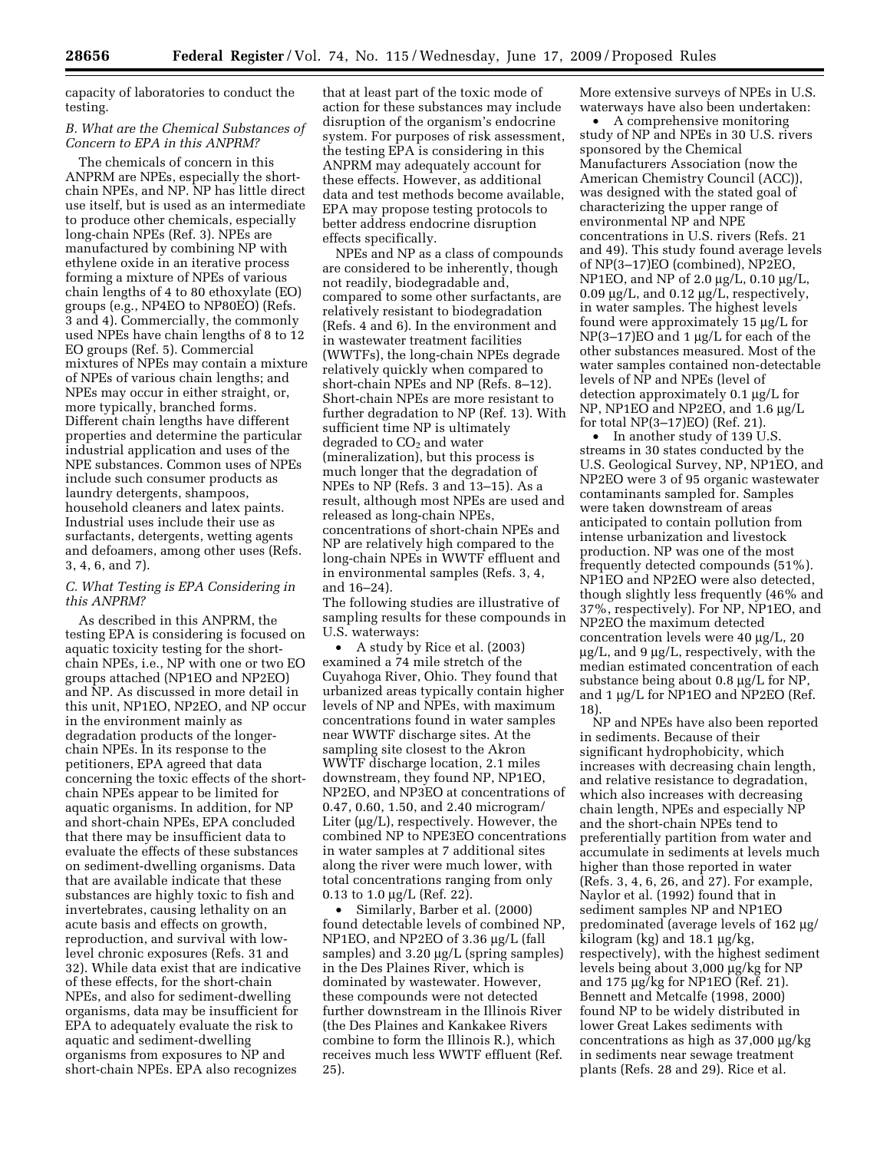capacity of laboratories to conduct the testing.

### *B. What are the Chemical Substances of Concern to EPA in this ANPRM?*

The chemicals of concern in this ANPRM are NPEs, especially the shortchain NPEs, and NP. NP has little direct use itself, but is used as an intermediate to produce other chemicals, especially long-chain NPEs (Ref. 3). NPEs are manufactured by combining NP with ethylene oxide in an iterative process forming a mixture of NPEs of various chain lengths of 4 to 80 ethoxylate (EO) groups (e.g., NP4EO to NP80EO) (Refs. 3 and 4). Commercially, the commonly used NPEs have chain lengths of 8 to 12 EO groups (Ref. 5). Commercial mixtures of NPEs may contain a mixture of NPEs of various chain lengths; and NPEs may occur in either straight, or, more typically, branched forms. Different chain lengths have different properties and determine the particular industrial application and uses of the NPE substances. Common uses of NPEs include such consumer products as laundry detergents, shampoos, household cleaners and latex paints. Industrial uses include their use as surfactants, detergents, wetting agents and defoamers, among other uses (Refs. 3, 4, 6, and 7).

# *C. What Testing is EPA Considering in this ANPRM?*

As described in this ANPRM, the testing EPA is considering is focused on aquatic toxicity testing for the shortchain NPEs, i.e., NP with one or two EO groups attached (NP1EO and NP2EO) and NP. As discussed in more detail in this unit, NP1EO, NP2EO, and NP occur in the environment mainly as degradation products of the longerchain NPEs. In its response to the petitioners, EPA agreed that data concerning the toxic effects of the shortchain NPEs appear to be limited for aquatic organisms. In addition, for NP and short-chain NPEs, EPA concluded that there may be insufficient data to evaluate the effects of these substances on sediment-dwelling organisms. Data that are available indicate that these substances are highly toxic to fish and invertebrates, causing lethality on an acute basis and effects on growth, reproduction, and survival with lowlevel chronic exposures (Refs. 31 and 32). While data exist that are indicative of these effects, for the short-chain NPEs, and also for sediment-dwelling organisms, data may be insufficient for EPA to adequately evaluate the risk to aquatic and sediment-dwelling organisms from exposures to NP and short-chain NPEs. EPA also recognizes

that at least part of the toxic mode of action for these substances may include disruption of the organism's endocrine system. For purposes of risk assessment, the testing EPA is considering in this ANPRM may adequately account for these effects. However, as additional data and test methods become available, EPA may propose testing protocols to better address endocrine disruption effects specifically.

NPEs and NP as a class of compounds are considered to be inherently, though not readily, biodegradable and, compared to some other surfactants, are relatively resistant to biodegradation (Refs. 4 and 6). In the environment and in wastewater treatment facilities (WWTFs), the long-chain NPEs degrade relatively quickly when compared to short-chain NPEs and NP (Refs. 8–12). Short-chain NPEs are more resistant to further degradation to NP (Ref. 13). With sufficient time NP is ultimately degraded to  $CO<sub>2</sub>$  and water (mineralization), but this process is much longer that the degradation of NPEs to NP (Refs. 3 and 13–15). As a result, although most NPEs are used and released as long-chain NPEs, concentrations of short-chain NPEs and NP are relatively high compared to the long-chain NPEs in WWTF effluent and in environmental samples (Refs. 3, 4, and 16–24).

The following studies are illustrative of sampling results for these compounds in U.S. waterways:

• A study by Rice et al. (2003) examined a 74 mile stretch of the Cuyahoga River, Ohio. They found that urbanized areas typically contain higher levels of NP and NPEs, with maximum concentrations found in water samples near WWTF discharge sites. At the sampling site closest to the Akron WWTF discharge location, 2.1 miles downstream, they found NP, NP1EO, NP2EO, and NP3EO at concentrations of 0.47, 0.60, 1.50, and 2.40 microgram/ Liter (μg/L), respectively. However, the combined NP to NPE3EO concentrations in water samples at 7 additional sites along the river were much lower, with total concentrations ranging from only 0.13 to 1.0 μg/L (Ref. 22).

• Similarly, Barber et al. (2000) found detectable levels of combined NP, NP1EO, and NP2EO of 3.36 μg/L (fall samples) and 3.20 μg/L (spring samples) in the Des Plaines River, which is dominated by wastewater. However, these compounds were not detected further downstream in the Illinois River (the Des Plaines and Kankakee Rivers combine to form the Illinois R.), which receives much less WWTF effluent (Ref. 25).

More extensive surveys of NPEs in U.S. waterways have also been undertaken:

• A comprehensive monitoring study of NP and NPEs in 30 U.S. rivers sponsored by the Chemical Manufacturers Association (now the American Chemistry Council (ACC)), was designed with the stated goal of characterizing the upper range of environmental NP and NPE concentrations in U.S. rivers (Refs. 21 and 49). This study found average levels of NP(3–17)EO (combined), NP2EO, NP1EO, and NP of 2.0 μg/L, 0.10 μg/L, 0.09 μg/L, and 0.12 μg/L, respectively, in water samples. The highest levels found were approximately 15 μg/L for NP(3–17)EO and 1 μg/L for each of the other substances measured. Most of the water samples contained non-detectable levels of NP and NPEs (level of detection approximately 0.1 μg/L for NP, NP1EO and NP2EO, and 1.6 μg/L for total NP(3–17)EO) (Ref. 21).

• In another study of 139 U.S. streams in 30 states conducted by the U.S. Geological Survey, NP, NP1EO, and NP2EO were 3 of 95 organic wastewater contaminants sampled for. Samples were taken downstream of areas anticipated to contain pollution from intense urbanization and livestock production. NP was one of the most frequently detected compounds (51%). NP1EO and NP2EO were also detected, though slightly less frequently (46% and 37%, respectively). For NP, NP1EO, and NP2EO the maximum detected concentration levels were 40 μg/L, 20 μg/L, and 9 μg/L, respectively, with the median estimated concentration of each substance being about 0.8 μg/L for NP, and 1 μg/L for NP1EO and NP2EO (Ref. 18).

NP and NPEs have also been reported in sediments. Because of their significant hydrophobicity, which increases with decreasing chain length, and relative resistance to degradation, which also increases with decreasing chain length, NPEs and especially NP and the short-chain NPEs tend to preferentially partition from water and accumulate in sediments at levels much higher than those reported in water (Refs. 3, 4, 6, 26, and 27). For example, Naylor et al. (1992) found that in sediment samples NP and NP1EO predominated (average levels of 162 μg/ kilogram (kg) and 18.1 μg/kg, respectively), with the highest sediment levels being about 3,000 μg/kg for NP and 175 μg/kg for NP1EO (Ref. 21). Bennett and Metcalfe (1998, 2000) found NP to be widely distributed in lower Great Lakes sediments with concentrations as high as 37,000 μg/kg in sediments near sewage treatment plants (Refs. 28 and 29). Rice et al.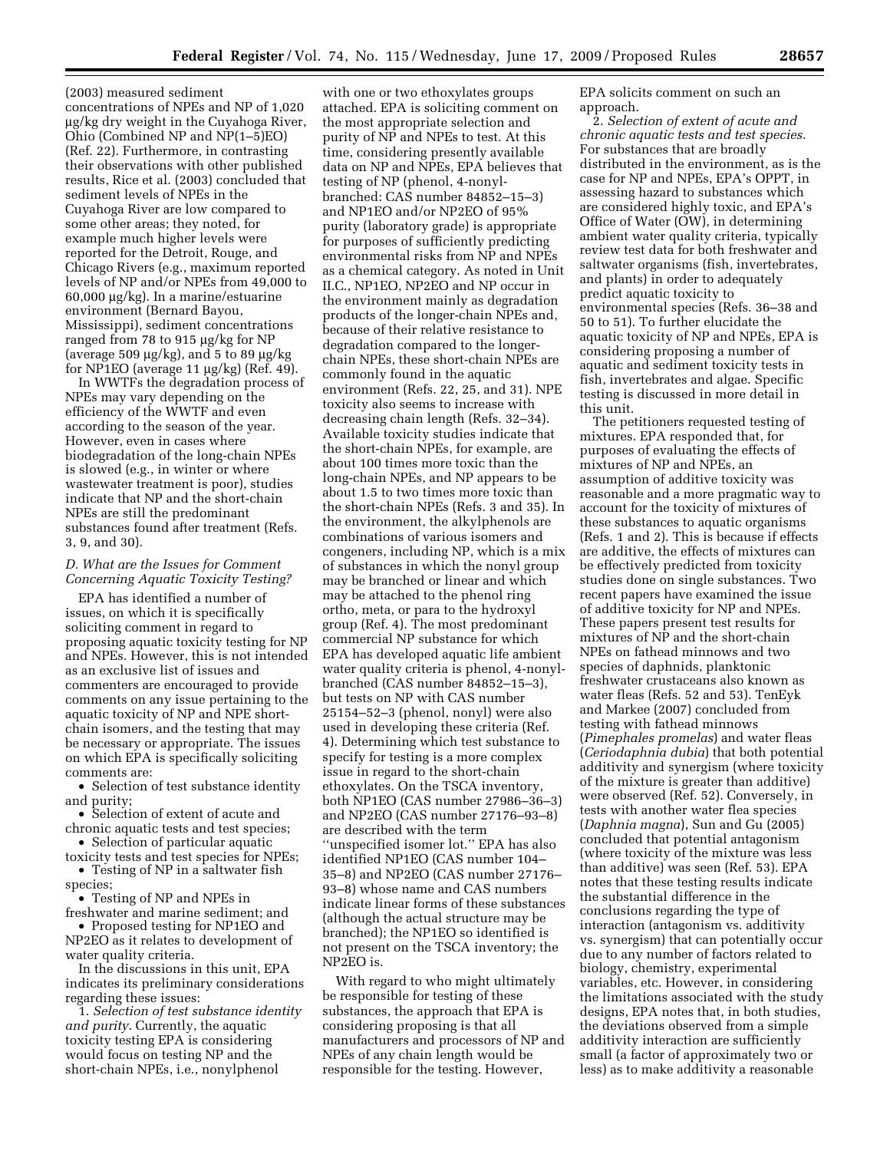(2003) measured sediment concentrations of NPEs and NP of 1,020 μg/kg dry weight in the Cuyahoga River, Ohio (Combined NP and NP(1–5)EO) (Ref. 22). Furthermore, in contrasting their observations with other published results, Rice et al. (2003) concluded that sediment levels of NPEs in the Cuyahoga River are low compared to some other areas; they noted, for example much higher levels were reported for the Detroit, Rouge, and Chicago Rivers (e.g., maximum reported levels of NP and/or NPEs from 49,000 to 60,000 μg/kg). In a marine/estuarine environment (Bernard Bayou, Mississippi), sediment concentrations ranged from 78 to 915 μg/kg for NP (average 509  $\mu$ g/kg), and 5 to 89  $\mu$ g/kg for NP1EO (average 11 μg/kg) (Ref. 49).

In WWTFs the degradation process of NPEs may vary depending on the efficiency of the WWTF and even according to the season of the year. However, even in cases where biodegradation of the long-chain NPEs is slowed (e.g., in winter or where wastewater treatment is poor), studies indicate that NP and the short-chain NPEs are still the predominant substances found after treatment (Refs. 3, 9, and 30).

## *D. What are the Issues for Comment Concerning Aquatic Toxicity Testing?*

EPA has identified a number of issues, on which it is specifically soliciting comment in regard to proposing aquatic toxicity testing for NP and NPEs. However, this is not intended as an exclusive list of issues and commenters are encouraged to provide comments on any issue pertaining to the aquatic toxicity of NP and NPE shortchain isomers, and the testing that may be necessary or appropriate. The issues on which EPA is specifically soliciting comments are:

• Selection of test substance identity and purity;

- Selection of extent of acute and chronic aquatic tests and test species;
- Selection of particular aquatic toxicity tests and test species for NPEs;
- Testing of NP in a saltwater fish species;
- Testing of NP and NPEs in freshwater and marine sediment; and
- Proposed testing for NP1EO and NP2EO as it relates to development of water quality criteria.
- In the discussions in this unit, EPA indicates its preliminary considerations regarding these issues:

1. *Selection of test substance identity and purity*. Currently, the aquatic toxicity testing EPA is considering would focus on testing NP and the short-chain NPEs, i.e., nonylphenol

with one or two ethoxylates groups attached. EPA is soliciting comment on the most appropriate selection and purity of NP and NPEs to test. At this time, considering presently available data on NP and NPEs, EPA believes that testing of NP (phenol, 4-nonylbranched: CAS number 84852–15–3) and NP1EO and/or NP2EO of 95% purity (laboratory grade) is appropriate for purposes of sufficiently predicting environmental risks from NP and NPEs as a chemical category. As noted in Unit II.C., NP1EO, NP2EO and NP occur in the environment mainly as degradation products of the longer-chain NPEs and, because of their relative resistance to degradation compared to the longerchain NPEs, these short-chain NPEs are commonly found in the aquatic environment (Refs. 22, 25, and 31). NPE toxicity also seems to increase with decreasing chain length (Refs. 32–34). Available toxicity studies indicate that the short-chain NPEs, for example, are about 100 times more toxic than the long-chain NPEs, and NP appears to be about 1.5 to two times more toxic than the short-chain NPEs (Refs. 3 and 35). In the environment, the alkylphenols are combinations of various isomers and congeners, including NP, which is a mix of substances in which the nonyl group may be branched or linear and which may be attached to the phenol ring ortho, meta, or para to the hydroxyl group (Ref. 4). The most predominant commercial NP substance for which EPA has developed aquatic life ambient water quality criteria is phenol, 4-nonylbranched (CAS number 84852–15–3), but tests on NP with CAS number 25154–52–3 (phenol, nonyl) were also used in developing these criteria (Ref. 4). Determining which test substance to specify for testing is a more complex issue in regard to the short-chain ethoxylates. On the TSCA inventory, both NP1EO (CAS number 27986–36–3) and NP2EO (CAS number 27176–93–8) are described with the term ''unspecified isomer lot.'' EPA has also identified NP1EO (CAS number 104– 35–8) and NP2EO (CAS number 27176– 93–8) whose name and CAS numbers indicate linear forms of these substances (although the actual structure may be branched); the NP1EO so identified is not present on the TSCA inventory; the NP2EO is.

With regard to who might ultimately be responsible for testing of these substances, the approach that EPA is considering proposing is that all manufacturers and processors of NP and NPEs of any chain length would be responsible for the testing. However,

EPA solicits comment on such an approach.

2. *Selection of extent of acute and chronic aquatic tests and test species*. For substances that are broadly distributed in the environment, as is the case for NP and NPEs, EPA's OPPT, in assessing hazard to substances which are considered highly toxic, and EPA's Office of Water (OW), in determining ambient water quality criteria, typically review test data for both freshwater and saltwater organisms (fish, invertebrates, and plants) in order to adequately predict aquatic toxicity to environmental species (Refs. 36–38 and 50 to 51). To further elucidate the aquatic toxicity of NP and NPEs, EPA is considering proposing a number of aquatic and sediment toxicity tests in fish, invertebrates and algae. Specific testing is discussed in more detail in this unit.

The petitioners requested testing of mixtures. EPA responded that, for purposes of evaluating the effects of mixtures of NP and NPEs, an assumption of additive toxicity was reasonable and a more pragmatic way to account for the toxicity of mixtures of these substances to aquatic organisms (Refs. 1 and 2). This is because if effects are additive, the effects of mixtures can be effectively predicted from toxicity studies done on single substances. Two recent papers have examined the issue of additive toxicity for NP and NPEs. These papers present test results for mixtures of NP and the short-chain NPEs on fathead minnows and two species of daphnids, planktonic freshwater crustaceans also known as water fleas (Refs. 52 and 53). TenEyk and Markee (2007) concluded from testing with fathead minnows (*Pimephales promelas*) and water fleas (*Ceriodaphnia dubia*) that both potential additivity and synergism (where toxicity of the mixture is greater than additive) were observed (Ref. 52). Conversely, in tests with another water flea species (*Daphnia magna*), Sun and Gu (2005) concluded that potential antagonism (where toxicity of the mixture was less than additive) was seen (Ref. 53). EPA notes that these testing results indicate the substantial difference in the conclusions regarding the type of interaction (antagonism vs. additivity vs. synergism) that can potentially occur due to any number of factors related to biology, chemistry, experimental variables, etc. However, in considering the limitations associated with the study designs, EPA notes that, in both studies, the deviations observed from a simple additivity interaction are sufficiently small (a factor of approximately two or less) as to make additivity a reasonable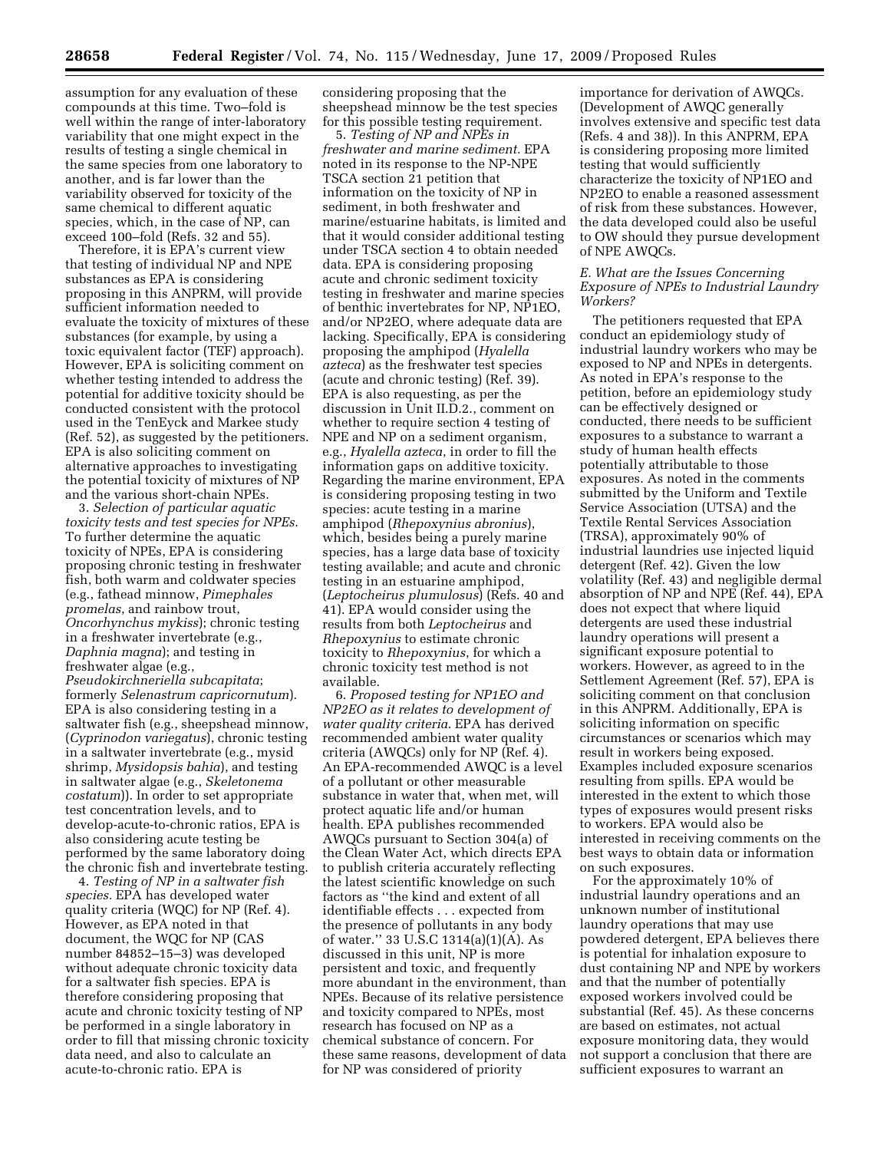assumption for any evaluation of these compounds at this time. Two–fold is well within the range of inter-laboratory variability that one might expect in the results of testing a single chemical in the same species from one laboratory to another, and is far lower than the variability observed for toxicity of the same chemical to different aquatic species, which, in the case of NP, can exceed 100–fold (Refs. 32 and 55).

Therefore, it is EPA's current view that testing of individual NP and NPE substances as EPA is considering proposing in this ANPRM, will provide sufficient information needed to evaluate the toxicity of mixtures of these substances (for example, by using a toxic equivalent factor (TEF) approach). However, EPA is soliciting comment on whether testing intended to address the potential for additive toxicity should be conducted consistent with the protocol used in the TenEyck and Markee study (Ref. 52), as suggested by the petitioners. EPA is also soliciting comment on alternative approaches to investigating the potential toxicity of mixtures of NP and the various short-chain NPEs.

3. *Selection of particular aquatic toxicity tests and test species for NPEs*. To further determine the aquatic toxicity of NPEs, EPA is considering proposing chronic testing in freshwater fish, both warm and coldwater species (e.g., fathead minnow, *Pimephales promelas*, and rainbow trout, *Oncorhynchus mykiss*); chronic testing in a freshwater invertebrate (e.g., *Daphnia magna*); and testing in freshwater algae (e.g.,

*Pseudokirchneriella subcapitata*; formerly *Selenastrum capricornutum*). EPA is also considering testing in a saltwater fish (e.g., sheepshead minnow, (*Cyprinodon variegatus*), chronic testing in a saltwater invertebrate (e.g., mysid shrimp, *Mysidopsis bahia*), and testing in saltwater algae (e.g., *Skeletonema costatum*)). In order to set appropriate test concentration levels, and to develop-acute-to-chronic ratios, EPA is also considering acute testing be performed by the same laboratory doing the chronic fish and invertebrate testing.

4. *Testing of NP in a saltwater fish species.* EPA has developed water quality criteria (WQC) for NP (Ref. 4). However, as EPA noted in that document, the WQC for NP (CAS number 84852–15–3) was developed without adequate chronic toxicity data for a saltwater fish species. EPA is therefore considering proposing that acute and chronic toxicity testing of NP be performed in a single laboratory in order to fill that missing chronic toxicity data need, and also to calculate an acute-to-chronic ratio. EPA is

considering proposing that the sheepshead minnow be the test species for this possible testing requirement.

5. *Testing of NP and NPEs in freshwater and marine sediment*. EPA noted in its response to the NP-NPE TSCA section 21 petition that information on the toxicity of NP in sediment, in both freshwater and marine/estuarine habitats, is limited and that it would consider additional testing under TSCA section 4 to obtain needed data. EPA is considering proposing acute and chronic sediment toxicity testing in freshwater and marine species of benthic invertebrates for NP, NP1EO, and/or NP2EO, where adequate data are lacking. Specifically, EPA is considering proposing the amphipod (*Hyalella azteca*) as the freshwater test species (acute and chronic testing) (Ref. 39). EPA is also requesting, as per the discussion in Unit II.D.2., comment on whether to require section 4 testing of NPE and NP on a sediment organism, e.g., *Hyalella azteca*, in order to fill the information gaps on additive toxicity. Regarding the marine environment, EPA is considering proposing testing in two species: acute testing in a marine amphipod (*Rhepoxynius abronius*), which, besides being a purely marine species, has a large data base of toxicity testing available; and acute and chronic testing in an estuarine amphipod, (*Leptocheirus plumulosus*) (Refs. 40 and 41). EPA would consider using the results from both *Leptocheirus* and *Rhepoxynius* to estimate chronic toxicity to *Rhepoxynius*, for which a chronic toxicity test method is not available.

6. *Proposed testing for NP1EO and NP2EO as it relates to development of water quality criteria*. EPA has derived recommended ambient water quality criteria (AWQCs) only for NP (Ref. 4). An EPA-recommended AWQC is a level of a pollutant or other measurable substance in water that, when met, will protect aquatic life and/or human health. EPA publishes recommended AWQCs pursuant to Section 304(a) of the Clean Water Act, which directs EPA to publish criteria accurately reflecting the latest scientific knowledge on such factors as ''the kind and extent of all identifiable effects . . . expected from the presence of pollutants in any body of water.'' 33 U.S.C 1314(a)(1)(A). As discussed in this unit, NP is more persistent and toxic, and frequently more abundant in the environment, than NPEs. Because of its relative persistence and toxicity compared to NPEs, most research has focused on NP as a chemical substance of concern. For these same reasons, development of data for NP was considered of priority

importance for derivation of AWQCs. (Development of AWQC generally involves extensive and specific test data (Refs. 4 and 38)). In this ANPRM, EPA is considering proposing more limited testing that would sufficiently characterize the toxicity of NP1EO and NP2EO to enable a reasoned assessment of risk from these substances. However, the data developed could also be useful to OW should they pursue development of NPE AWQCs.

## *E. What are the Issues Concerning Exposure of NPEs to Industrial Laundry Workers?*

The petitioners requested that EPA conduct an epidemiology study of industrial laundry workers who may be exposed to NP and NPEs in detergents. As noted in EPA's response to the petition, before an epidemiology study can be effectively designed or conducted, there needs to be sufficient exposures to a substance to warrant a study of human health effects potentially attributable to those exposures. As noted in the comments submitted by the Uniform and Textile Service Association (UTSA) and the Textile Rental Services Association (TRSA), approximately 90% of industrial laundries use injected liquid detergent (Ref. 42). Given the low volatility (Ref. 43) and negligible dermal absorption of NP and NPE (Ref. 44), EPA does not expect that where liquid detergents are used these industrial laundry operations will present a significant exposure potential to workers. However, as agreed to in the Settlement Agreement (Ref. 57), EPA is soliciting comment on that conclusion in this ANPRM. Additionally, EPA is soliciting information on specific circumstances or scenarios which may result in workers being exposed. Examples included exposure scenarios resulting from spills. EPA would be interested in the extent to which those types of exposures would present risks to workers. EPA would also be interested in receiving comments on the best ways to obtain data or information on such exposures.

For the approximately 10% of industrial laundry operations and an unknown number of institutional laundry operations that may use powdered detergent, EPA believes there is potential for inhalation exposure to dust containing NP and NPE by workers and that the number of potentially exposed workers involved could be substantial (Ref. 45). As these concerns are based on estimates, not actual exposure monitoring data, they would not support a conclusion that there are sufficient exposures to warrant an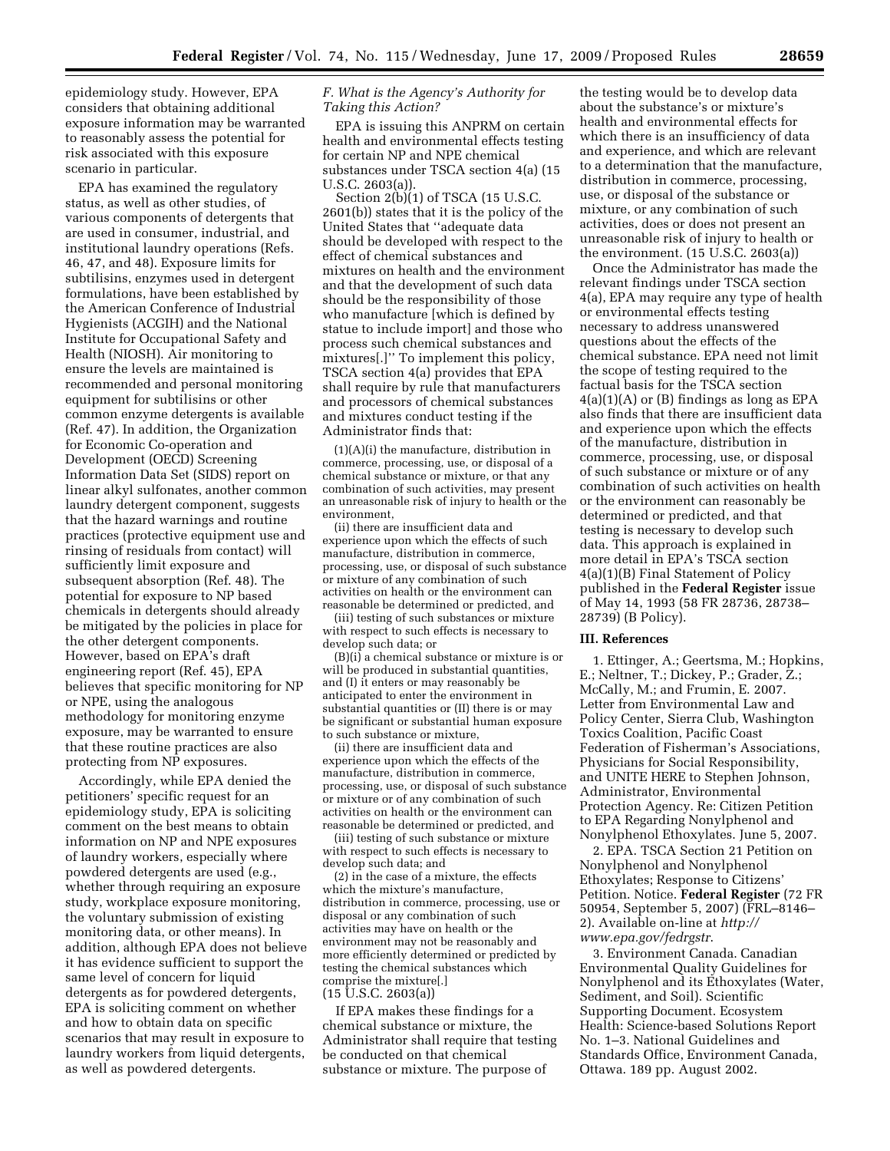epidemiology study. However, EPA considers that obtaining additional exposure information may be warranted to reasonably assess the potential for risk associated with this exposure scenario in particular.

EPA has examined the regulatory status, as well as other studies, of various components of detergents that are used in consumer, industrial, and institutional laundry operations (Refs. 46, 47, and 48). Exposure limits for subtilisins, enzymes used in detergent formulations, have been established by the American Conference of Industrial Hygienists (ACGIH) and the National Institute for Occupational Safety and Health (NIOSH). Air monitoring to ensure the levels are maintained is recommended and personal monitoring equipment for subtilisins or other common enzyme detergents is available (Ref. 47). In addition, the Organization for Economic Co-operation and Development (OECD) Screening Information Data Set (SIDS) report on linear alkyl sulfonates, another common laundry detergent component, suggests that the hazard warnings and routine practices (protective equipment use and rinsing of residuals from contact) will sufficiently limit exposure and subsequent absorption (Ref. 48). The potential for exposure to NP based chemicals in detergents should already be mitigated by the policies in place for the other detergent components. However, based on EPA's draft engineering report (Ref. 45), EPA believes that specific monitoring for NP or NPE, using the analogous methodology for monitoring enzyme exposure, may be warranted to ensure that these routine practices are also protecting from NP exposures.

Accordingly, while EPA denied the petitioners' specific request for an epidemiology study, EPA is soliciting comment on the best means to obtain information on NP and NPE exposures of laundry workers, especially where powdered detergents are used (e.g., whether through requiring an exposure study, workplace exposure monitoring, the voluntary submission of existing monitoring data, or other means). In addition, although EPA does not believe it has evidence sufficient to support the same level of concern for liquid detergents as for powdered detergents, EPA is soliciting comment on whether and how to obtain data on specific scenarios that may result in exposure to laundry workers from liquid detergents, as well as powdered detergents.

## *F. What is the Agency's Authority for Taking this Action?*

EPA is issuing this ANPRM on certain health and environmental effects testing for certain NP and NPE chemical substances under TSCA section 4(a) (15 U.S.C. 2603(a)).

Section  $2(b)(1)$  of TSCA (15 U.S.C. 2601(b)) states that it is the policy of the United States that ''adequate data should be developed with respect to the effect of chemical substances and mixtures on health and the environment and that the development of such data should be the responsibility of those who manufacture [which is defined by statue to include import] and those who process such chemical substances and mixtures[.]'' To implement this policy, TSCA section 4(a) provides that EPA shall require by rule that manufacturers and processors of chemical substances and mixtures conduct testing if the Administrator finds that:

(1)(A)(i) the manufacture, distribution in commerce, processing, use, or disposal of a chemical substance or mixture, or that any combination of such activities, may present an unreasonable risk of injury to health or the environment,

(ii) there are insufficient data and experience upon which the effects of such manufacture, distribution in commerce, processing, use, or disposal of such substance or mixture of any combination of such activities on health or the environment can reasonable be determined or predicted, and

(iii) testing of such substances or mixture with respect to such effects is necessary to develop such data; or

(B)(i) a chemical substance or mixture is or will be produced in substantial quantities, and (I) it enters or may reasonably be anticipated to enter the environment in substantial quantities or (II) there is or may be significant or substantial human exposure to such substance or mixture,

(ii) there are insufficient data and experience upon which the effects of the manufacture, distribution in commerce, processing, use, or disposal of such substance or mixture or of any combination of such activities on health or the environment can reasonable be determined or predicted, and

(iii) testing of such substance or mixture with respect to such effects is necessary to develop such data; and

(2) in the case of a mixture, the effects which the mixture's manufacture, distribution in commerce, processing, use or disposal or any combination of such activities may have on health or the environment may not be reasonably and more efficiently determined or predicted by testing the chemical substances which comprise the mixture[.]  $(15 \text{ U.S.C. } 2603(a))$ 

If EPA makes these findings for a chemical substance or mixture, the Administrator shall require that testing be conducted on that chemical substance or mixture. The purpose of

the testing would be to develop data about the substance's or mixture's health and environmental effects for which there is an insufficiency of data and experience, and which are relevant to a determination that the manufacture, distribution in commerce, processing, use, or disposal of the substance or mixture, or any combination of such activities, does or does not present an unreasonable risk of injury to health or the environment. (15 U.S.C. 2603(a))

Once the Administrator has made the relevant findings under TSCA section 4(a), EPA may require any type of health or environmental effects testing necessary to address unanswered questions about the effects of the chemical substance. EPA need not limit the scope of testing required to the factual basis for the TSCA section  $4(a)(1)(A)$  or  $(B)$  findings as long as EPA also finds that there are insufficient data and experience upon which the effects of the manufacture, distribution in commerce, processing, use, or disposal of such substance or mixture or of any combination of such activities on health or the environment can reasonably be determined or predicted, and that testing is necessary to develop such data. This approach is explained in more detail in EPA's TSCA section 4(a)(1)(B) Final Statement of Policy published in the **Federal Register** issue of May 14, 1993 (58 FR 28736, 28738– 28739) (B Policy).

### **III. References**

1. Ettinger, A.; Geertsma, M.; Hopkins, E.; Neltner, T.; Dickey, P.; Grader, Z.; McCally, M.; and Frumin, E. 2007. Letter from Environmental Law and Policy Center, Sierra Club, Washington Toxics Coalition, Pacific Coast Federation of Fisherman's Associations, Physicians for Social Responsibility, and UNITE HERE to Stephen Johnson, Administrator, Environmental Protection Agency. Re: Citizen Petition to EPA Regarding Nonylphenol and Nonylphenol Ethoxylates. June 5, 2007.

2. EPA. TSCA Section 21 Petition on Nonylphenol and Nonylphenol Ethoxylates; Response to Citizens' Petition. Notice. **Federal Register** (72 FR 50954, September 5, 2007) (FRL–8146– 2). Available on-line at *http:// www.epa.gov/fedrgstr*.

3. Environment Canada. Canadian Environmental Quality Guidelines for Nonylphenol and its Ethoxylates (Water, Sediment, and Soil). Scientific Supporting Document. Ecosystem Health: Science-based Solutions Report No. 1–3. National Guidelines and Standards Office, Environment Canada, Ottawa. 189 pp. August 2002.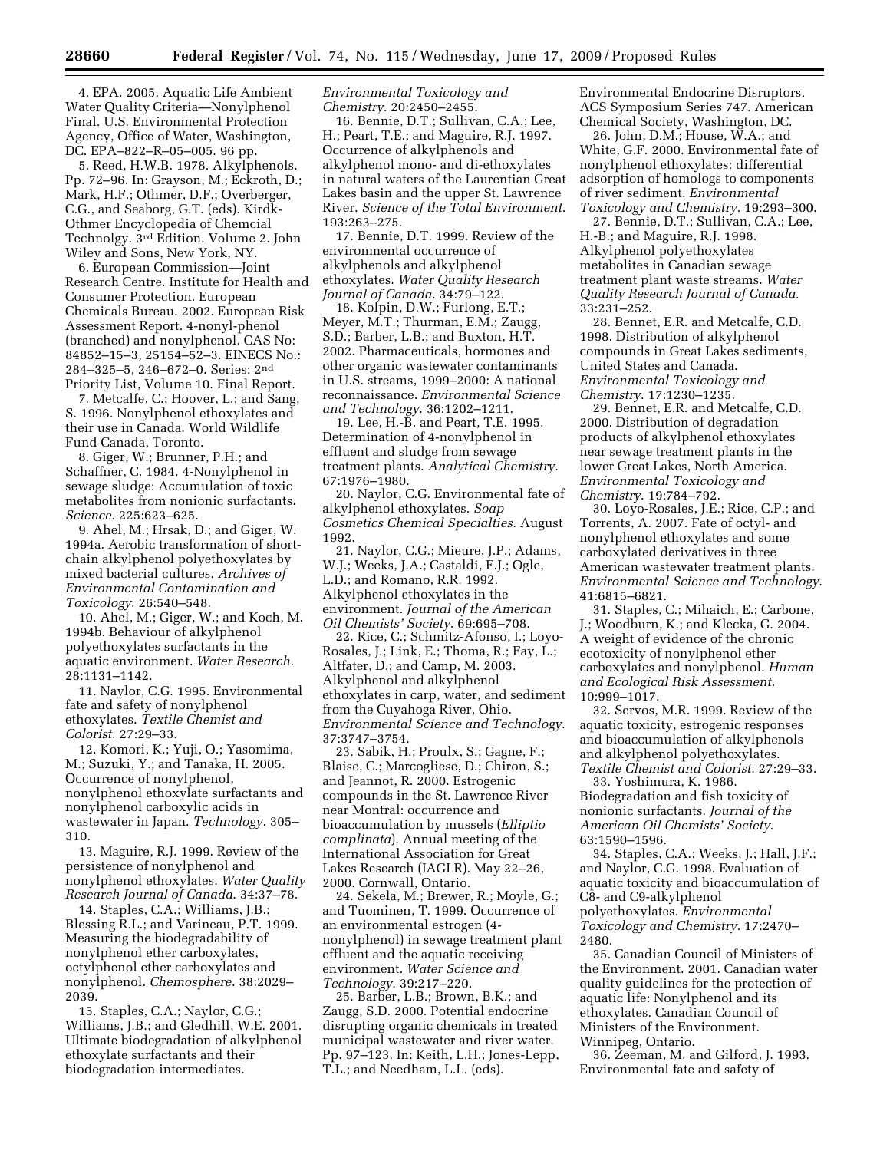4. EPA. 2005. Aquatic Life Ambient Water Quality Criteria—Nonylphenol Final. U.S. Environmental Protection Agency, Office of Water, Washington, DC. EPA–822–R–05–005. 96 pp.

5. Reed, H.W.B. 1978. Alkylphenols. Pp. 72–96. In: Grayson, M.; Eckroth, D.; Mark, H.F.; Othmer, D.F.; Overberger, C.G., and Seaborg, G.T. (eds). Kirdk-Othmer Encyclopedia of Chemcial Technolgy. 3rd Edition. Volume 2. John Wiley and Sons, New York, NY.

6. European Commission—Joint Research Centre. Institute for Health and Consumer Protection. European Chemicals Bureau. 2002. European Risk Assessment Report. 4-nonyl-phenol (branched) and nonylphenol. CAS No: 84852–15–3, 25154–52–3. EINECS No.: 284–325–5, 246–672–0. Series: 2nd Priority List, Volume 10. Final Report.

7. Metcalfe, C.; Hoover, L.; and Sang, S. 1996. Nonylphenol ethoxylates and their use in Canada. World Wildlife Fund Canada, Toronto.

8. Giger, W.; Brunner, P.H.; and Schaffner, C. 1984. 4-Nonylphenol in sewage sludge: Accumulation of toxic metabolites from nonionic surfactants. *Science*. 225:623–625.

9. Ahel, M.; Hrsak, D.; and Giger, W. 1994a. Aerobic transformation of shortchain alkylphenol polyethoxylates by mixed bacterial cultures. *Archives of Environmental Contamination and Toxicology*. 26:540–548.

10. Ahel, M.; Giger, W.; and Koch, M. 1994b. Behaviour of alkylphenol polyethoxylates surfactants in the aquatic environment. *Water Research*. 28:1131–1142.

11. Naylor, C.G. 1995. Environmental fate and safety of nonylphenol ethoxylates. *Textile Chemist and Colorist*. 27:29–33.

12. Komori, K.; Yuji, O.; Yasomima, M.; Suzuki, Y.; and Tanaka, H. 2005. Occurrence of nonylphenol, nonylphenol ethoxylate surfactants and nonylphenol carboxylic acids in wastewater in Japan. *Technology*. 305– 310.

13. Maguire, R.J. 1999. Review of the persistence of nonylphenol and nonylphenol ethoxylates. *Water Quality Research Journal of Canada*. 34:37–78.

14. Staples, C.A.; Williams, J.B.; Blessing R.L.; and Varineau, P.T. 1999. Measuring the biodegradability of nonylphenol ether carboxylates, octylphenol ether carboxylates and nonylphenol. *Chemosphere*. 38:2029– 2039.

15. Staples, C.A.; Naylor, C.G.; Williams, J.B.; and Gledhill, W.E. 2001. Ultimate biodegradation of alkylphenol ethoxylate surfactants and their biodegradation intermediates.

*Environmental Toxicology and Chemistry*. 20:2450–2455.

16. Bennie, D.T.; Sullivan, C.A.; Lee, H.; Peart, T.E.; and Maguire, R.J. 1997. Occurrence of alkylphenols and alkylphenol mono- and di-ethoxylates in natural waters of the Laurentian Great Lakes basin and the upper St. Lawrence River. *Science of the Total Environment*. 193:263–275.

17. Bennie, D.T. 1999. Review of the environmental occurrence of alkylphenols and alkylphenol ethoxylates. *Water Quality Research Journal of Canada*. 34:79–122.

18. Kolpin, D.W.; Furlong, E.T.; Meyer, M.T.; Thurman, E.M.; Zaugg, S.D.; Barber, L.B.; and Buxton, H.T. 2002. Pharmaceuticals, hormones and other organic wastewater contaminants in U.S. streams, 1999–2000: A national reconnaissance. *Environmental Science and Technology*. 36:1202–1211.

19. Lee, H.-B. and Peart, T.E. 1995. Determination of 4-nonylphenol in effluent and sludge from sewage treatment plants. *Analytical Chemistry*. 67:1976–1980.

20. Naylor, C.G. Environmental fate of alkylphenol ethoxylates. *Soap Cosmetics Chemical Specialties*. August 1992.

21. Naylor, C.G.; Mieure, J.P.; Adams, W.J.; Weeks, J.A.; Castaldi, F.J.; Ogle, L.D.; and Romano, R.R. 1992. Alkylphenol ethoxylates in the environment. *Journal of the American Oil Chemists' Society*. 69:695–708.

22. Rice, C.; Schmitz-Afonso, I.; Loyo-Rosales, J.; Link, E.; Thoma, R.; Fay, L.; Altfater, D.; and Camp, M. 2003. Alkylphenol and alkylphenol ethoxylates in carp, water, and sediment from the Cuyahoga River, Ohio. *Environmental Science and Technology*. 37:3747–3754.

23. Sabik, H.; Proulx, S.; Gagne, F.; Blaise, C.; Marcogliese, D.; Chiron, S.; and Jeannot, R. 2000. Estrogenic compounds in the St. Lawrence River near Montral: occurrence and bioaccumulation by mussels (*Elliptio complinata*). Annual meeting of the International Association for Great Lakes Research (IAGLR). May 22–26, 2000. Cornwall, Ontario.

24. Sekela, M.; Brewer, R.; Moyle, G.; and Tuominen, T. 1999. Occurrence of an environmental estrogen (4 nonylphenol) in sewage treatment plant effluent and the aquatic receiving environment. *Water Science and Technology*. 39:217–220.

25. Barber, L.B.; Brown, B.K.; and Zaugg, S.D. 2000. Potential endocrine disrupting organic chemicals in treated municipal wastewater and river water. Pp. 97–123. In: Keith, L.H.; Jones-Lepp, T.L.; and Needham, L.L. (eds).

Environmental Endocrine Disruptors, ACS Symposium Series 747. American Chemical Society, Washington, DC.

26. John, D.M.; House, W.A.; and White, G.F. 2000. Environmental fate of nonylphenol ethoxylates: differential adsorption of homologs to components of river sediment. *Environmental Toxicology and Chemistry*. 19:293–300.

27. Bennie, D.T.; Sullivan, C.A.; Lee, H.-B.; and Maguire, R.J. 1998. Alkylphenol polyethoxylates metabolites in Canadian sewage treatment plant waste streams. *Water Quality Research Journal of Canada*. 33:231–252.

28. Bennet, E.R. and Metcalfe, C.D. 1998. Distribution of alkylphenol compounds in Great Lakes sediments, United States and Canada. *Environmental Toxicology and Chemistry*. 17:1230–1235.

29. Bennet, E.R. and Metcalfe, C.D. 2000. Distribution of degradation products of alkylphenol ethoxylates near sewage treatment plants in the lower Great Lakes, North America. *Environmental Toxicology and Chemistry*. 19:784–792.

30. Loyo-Rosales, J.E.; Rice, C.P.; and Torrents, A. 2007. Fate of octyl- and nonylphenol ethoxylates and some carboxylated derivatives in three American wastewater treatment plants. *Environmental Science and Technology*. 41:6815–6821.

31. Staples, C.; Mihaich, E.; Carbone, J.; Woodburn, K.; and Klecka, G. 2004. A weight of evidence of the chronic ecotoxicity of nonylphenol ether carboxylates and nonylphenol. *Human and Ecological Risk Assessment*. 10:999–1017.

32. Servos, M.R. 1999. Review of the aquatic toxicity, estrogenic responses and bioaccumulation of alkylphenols and alkylphenol polyethoxylates. *Textile Chemist and Colorist*. 27:29–33. 33. Yoshimura, K. 1986.

Biodegradation and fish toxicity of nonionic surfactants. *Journal of the American Oil Chemists' Society*. 63:1590–1596.

34. Staples, C.A.; Weeks, J.; Hall, J.F.; and Naylor, C.G. 1998. Evaluation of aquatic toxicity and bioaccumulation of C8- and C9-alkylphenol polyethoxylates. *Environmental* 

*Toxicology and Chemistry*. 17:2470– 2480.

35. Canadian Council of Ministers of the Environment. 2001. Canadian water quality guidelines for the protection of aquatic life: Nonylphenol and its ethoxylates. Canadian Council of Ministers of the Environment. Winnipeg, Ontario.

36. Zeeman, M. and Gilford, J. 1993. Environmental fate and safety of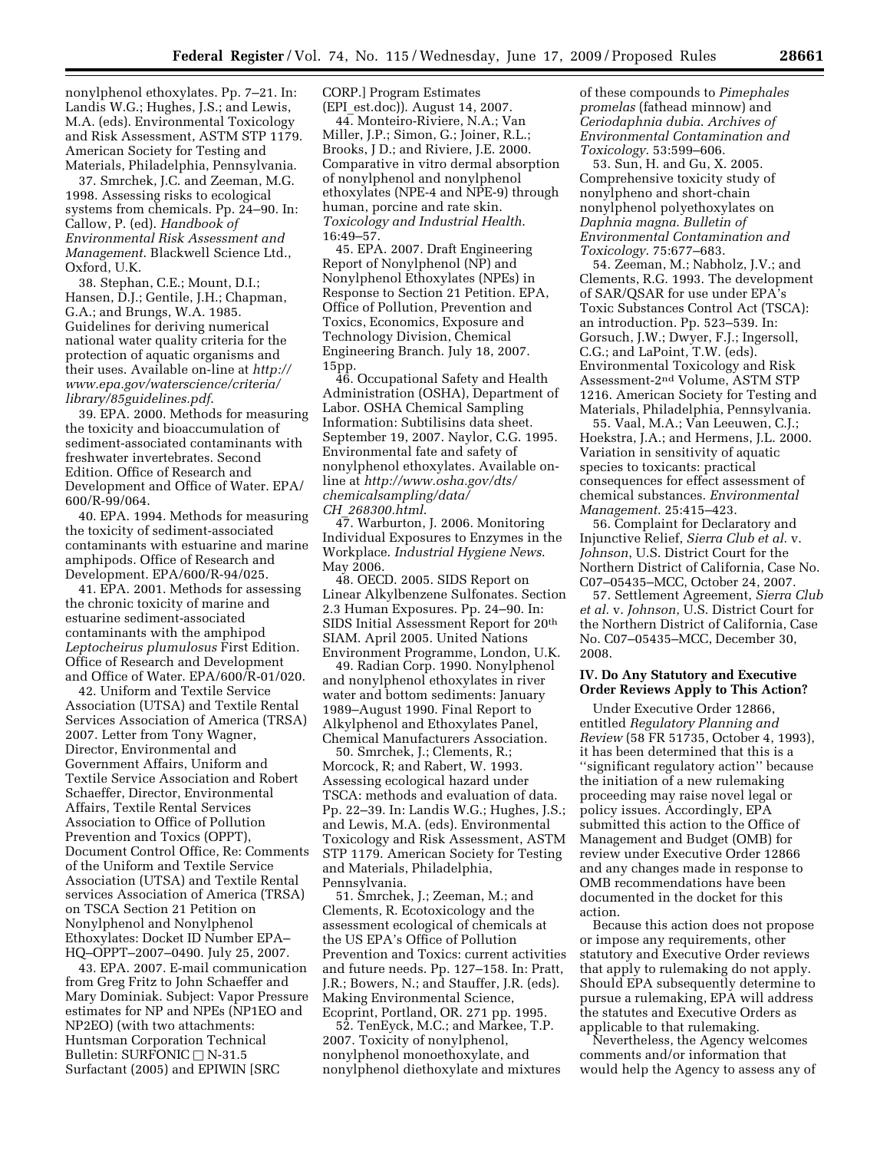nonylphenol ethoxylates. Pp. 7–21. In: Landis W.G.; Hughes, J.S.; and Lewis, M.A. (eds). Environmental Toxicology and Risk Assessment, ASTM STP 1179. American Society for Testing and Materials, Philadelphia, Pennsylvania.

37. Smrchek, J.C. and Zeeman, M.G. 1998. Assessing risks to ecological systems from chemicals. Pp. 24–90. In: Callow, P. (ed). *Handbook of Environmental Risk Assessment and Management*. Blackwell Science Ltd., Oxford, U.K.

38. Stephan, C.E.; Mount, D.I.; Hansen, D.J.; Gentile, J.H.; Chapman, G.A.; and Brungs, W.A. 1985. Guidelines for deriving numerical national water quality criteria for the protection of aquatic organisms and their uses. Available on-line at *http:// www.epa.gov/waterscience/criteria/ library/85guidelines.pdf*.

39. EPA. 2000. Methods for measuring the toxicity and bioaccumulation of sediment-associated contaminants with freshwater invertebrates. Second Edition. Office of Research and Development and Office of Water. EPA/ 600/R-99/064.

40. EPA. 1994. Methods for measuring the toxicity of sediment-associated contaminants with estuarine and marine amphipods. Office of Research and Development. EPA/600/R-94/025.

41. EPA. 2001. Methods for assessing the chronic toxicity of marine and estuarine sediment-associated contaminants with the amphipod *Leptocheirus plumulosus* First Edition. Office of Research and Development and Office of Water. EPA/600/R-01/020.

42. Uniform and Textile Service Association (UTSA) and Textile Rental Services Association of America (TRSA) 2007. Letter from Tony Wagner, Director, Environmental and Government Affairs, Uniform and Textile Service Association and Robert Schaeffer, Director, Environmental Affairs, Textile Rental Services Association to Office of Pollution Prevention and Toxics (OPPT), Document Control Office, Re: Comments of the Uniform and Textile Service Association (UTSA) and Textile Rental services Association of America (TRSA) on TSCA Section 21 Petition on Nonylphenol and Nonylphenol Ethoxylates: Docket ID Number EPA– HQ–OPPT–2007–0490. July 25, 2007.

43. EPA. 2007. E-mail communication from Greg Fritz to John Schaeffer and Mary Dominiak. Subject: Vapor Pressure estimates for NP and NPEs (NP1EO and NP2EO) (with two attachments: Huntsman Corporation Technical Bulletin: SURFONIC  $\Box$  N-31.5 Surfactant (2005) and EPIWIN [SRC

CORP.] Program Estimates (EPI\_est.doc)). August 14, 2007.

44. Monteiro-Riviere, N.A.; Van Miller, J.P.; Simon, G.; Joiner, R.L.; Brooks, J D.; and Riviere, J.E. 2000. Comparative in vitro dermal absorption of nonylphenol and nonylphenol ethoxylates (NPE-4 and NPE-9) through human, porcine and rate skin. *Toxicology and Industrial Health*. 16:49–57.

45. EPA. 2007. Draft Engineering Report of Nonylphenol (NP) and Nonylphenol Ethoxylates (NPEs) in Response to Section 21 Petition. EPA, Office of Pollution, Prevention and Toxics, Economics, Exposure and Technology Division, Chemical Engineering Branch. July 18, 2007. 15pp.

46. Occupational Safety and Health Administration (OSHA), Department of Labor. OSHA Chemical Sampling Information: Subtilisins data sheet. September 19, 2007. Naylor, C.G. 1995. Environmental fate and safety of nonylphenol ethoxylates. Available online at *http://www.osha.gov/dts/ chemicalsampling/data/ CH*\_*268300.html*.

47. Warburton, J. 2006. Monitoring Individual Exposures to Enzymes in the Workplace. *Industrial Hygiene News*. May 2006.

48. OECD. 2005. SIDS Report on Linear Alkylbenzene Sulfonates. Section 2.3 Human Exposures. Pp. 24–90. In: SIDS Initial Assessment Report for 20<sup>th</sup> SIAM. April 2005. United Nations Environment Programme, London, U.K.

49. Radian Corp. 1990. Nonylphenol and nonylphenol ethoxylates in river water and bottom sediments: January 1989–August 1990. Final Report to Alkylphenol and Ethoxylates Panel, Chemical Manufacturers Association.

50. Smrchek, J.; Clements, R.; Morcock, R; and Rabert, W. 1993. Assessing ecological hazard under TSCA: methods and evaluation of data. Pp. 22–39. In: Landis W.G.; Hughes, J.S.; and Lewis, M.A. (eds). Environmental Toxicology and Risk Assessment, ASTM STP 1179. American Society for Testing and Materials, Philadelphia, Pennsylvania.

51. Smrchek, J.; Zeeman, M.; and Clements, R. Ecotoxicology and the assessment ecological of chemicals at the US EPA's Office of Pollution Prevention and Toxics: current activities and future needs. Pp. 127–158. In: Pratt, J.R.; Bowers, N.; and Stauffer, J.R. (eds). Making Environmental Science, Ecoprint, Portland, OR. 271 pp. 1995.

52. TenEyck, M.C.; and Markee, T.P. 2007. Toxicity of nonylphenol, nonylphenol monoethoxylate, and nonylphenol diethoxylate and mixtures of these compounds to *Pimephales promelas* (fathead minnow) and *Ceriodaphnia dubia*. *Archives of Environmental Contamination and Toxicology*. 53:599–606.

53. Sun, H. and Gu, X. 2005. Comprehensive toxicity study of nonylpheno and short-chain nonylphenol polyethoxylates on *Daphnia magna*. *Bulletin of Environmental Contamination and Toxicology*. 75:677–683.

54. Zeeman, M.; Nabholz, J.V.; and Clements, R.G. 1993. The development of SAR/QSAR for use under EPA's Toxic Substances Control Act (TSCA): an introduction. Pp. 523–539. In: Gorsuch, J.W.; Dwyer, F.J.; Ingersoll, C.G.; and LaPoint, T.W. (eds). Environmental Toxicology and Risk Assessment-2nd Volume, ASTM STP 1216. American Society for Testing and Materials, Philadelphia, Pennsylvania.

55. Vaal, M.A.; Van Leeuwen, C.J.; Hoekstra, J.A.; and Hermens, J.L. 2000. Variation in sensitivity of aquatic species to toxicants: practical consequences for effect assessment of chemical substances. *Environmental Management*. 25:415–423.

56. Complaint for Declaratory and Injunctive Relief, *Sierra Club et al.* v. *Johnson*, U.S. District Court for the Northern District of California, Case No. C07–05435–MCC, October 24, 2007.

57. Settlement Agreement, *Sierra Club et al.* v. *Johnson*, U.S. District Court for the Northern District of California, Case No. C07–05435–MCC, December 30, 2008.

## **IV. Do Any Statutory and Executive Order Reviews Apply to This Action?**

Under Executive Order 12866, entitled *Regulatory Planning and Review* (58 FR 51735, October 4, 1993), it has been determined that this is a ''significant regulatory action'' because the initiation of a new rulemaking proceeding may raise novel legal or policy issues. Accordingly, EPA submitted this action to the Office of Management and Budget (OMB) for review under Executive Order 12866 and any changes made in response to OMB recommendations have been documented in the docket for this action.

Because this action does not propose or impose any requirements, other statutory and Executive Order reviews that apply to rulemaking do not apply. Should EPA subsequently determine to pursue a rulemaking, EPA will address the statutes and Executive Orders as applicable to that rulemaking.

Nevertheless, the Agency welcomes comments and/or information that would help the Agency to assess any of